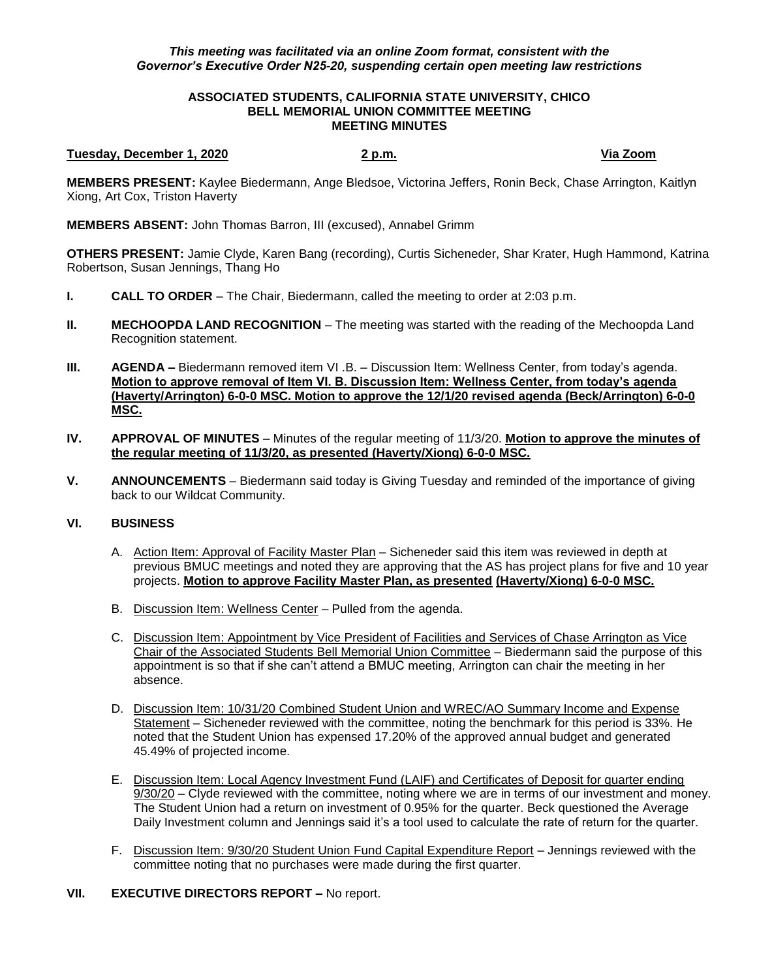## *This meeting was facilitated via an online Zoom format, consistent with the Governor's Executive Order N25-20, suspending certain open meeting law restrictions*

### **ASSOCIATED STUDENTS, CALIFORNIA STATE UNIVERSITY, CHICO BELL MEMORIAL UNION COMMITTEE MEETING MEETING MINUTES**

#### **Tuesday, December 1, 2020 2 p.m. Via Zoom**

**MEMBERS PRESENT:** Kaylee Biedermann, Ange Bledsoe, Victorina Jeffers, Ronin Beck, Chase Arrington, Kaitlyn Xiong, Art Cox, Triston Haverty

**MEMBERS ABSENT:** John Thomas Barron, III (excused), Annabel Grimm

**OTHERS PRESENT:** Jamie Clyde, Karen Bang (recording), Curtis Sicheneder, Shar Krater, Hugh Hammond, Katrina Robertson, Susan Jennings, Thang Ho

- **I. CALL TO ORDER**  The Chair, Biedermann, called the meeting to order at 2:03 p.m.
- **II. MECHOOPDA LAND RECOGNITION** The meeting was started with the reading of the Mechoopda Land Recognition statement.
- **III. <b>AGENDA** Biedermann removed item VI .B. Discussion Item: Wellness Center, from today's agenda. **Motion to approve removal of Item VI. B. Discussion Item: Wellness Center, from today's agenda (Haverty/Arrington) 6-0-0 MSC. Motion to approve the 12/1/20 revised agenda (Beck/Arrington) 6-0-0 MSC.**
- **IV. APPROVAL OF MINUTES** Minutes of the regular meeting of 11/3/20. **Motion to approve the minutes of the regular meeting of 11/3/20, as presented (Haverty/Xiong) 6-0-0 MSC.**
- **V. ANNOUNCEMENTS** Biedermann said today is Giving Tuesday and reminded of the importance of giving back to our Wildcat Community.

## **VI. BUSINESS**

- A. Action Item: Approval of Facility Master Plan Sicheneder said this item was reviewed in depth at previous BMUC meetings and noted they are approving that the AS has project plans for five and 10 year projects. **Motion to approve Facility Master Plan, as presented (Haverty/Xiong) 6-0-0 MSC.**
- B. Discussion Item: Wellness Center Pulled from the agenda.
- C. Discussion Item: Appointment by Vice President of Facilities and Services of Chase Arrington as Vice Chair of the Associated Students Bell Memorial Union Committee – Biedermann said the purpose of this appointment is so that if she can't attend a BMUC meeting, Arrington can chair the meeting in her absence.
- D. Discussion Item: 10/31/20 Combined Student Union and WREC/AO Summary Income and Expense Statement – Sicheneder reviewed with the committee, noting the benchmark for this period is 33%. He noted that the Student Union has expensed 17.20% of the approved annual budget and generated 45.49% of projected income.
- E. Discussion Item: Local Agency Investment Fund (LAIF) and Certificates of Deposit for quarter ending 9/30/20 – Clyde reviewed with the committee, noting where we are in terms of our investment and money. The Student Union had a return on investment of 0.95% for the quarter. Beck questioned the Average Daily Investment column and Jennings said it's a tool used to calculate the rate of return for the quarter.
- F. Discussion Item: 9/30/20 Student Union Fund Capital Expenditure Report Jennings reviewed with the committee noting that no purchases were made during the first quarter.

# **VII. EXECUTIVE DIRECTORS REPORT –** No report.